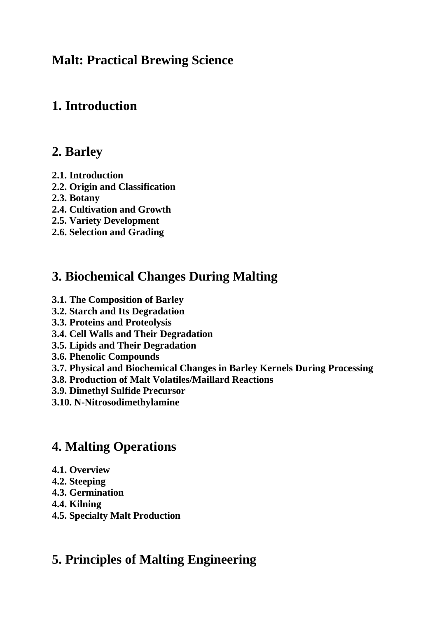## **Malt: Practical Brewing Science**

## **1. Introduction**

### **2. Barley**

- **2.1. Introduction**
- **2.2. Origin and Classification**
- **2.3. Botany**
- **2.4. Cultivation and Growth**
- **2.5. Variety Development**
- **2.6. Selection and Grading**

# **3. Biochemical Changes During Malting**

- **3.1. The Composition of Barley**
- **3.2. Starch and Its Degradation**
- **3.3. Proteins and Proteolysis**
- **3.4. Cell Walls and Their Degradation**
- **3.5. Lipids and Their Degradation**
- **3.6. Phenolic Compounds**
- **3.7. Physical and Biochemical Changes in Barley Kernels During Processing**
- **3.8. Production of Malt Volatiles/Maillard Reactions**
- **3.9. Dimethyl Sulfide Precursor**
- **3.10. N-Nitrosodimethylamine**

# **4. Malting Operations**

- **4.1. Overview**
- **4.2. Steeping**
- **4.3. Germination**
- **4.4. Kilning**
- **4.5. Specialty Malt Production**

# **5. Principles of Malting Engineering**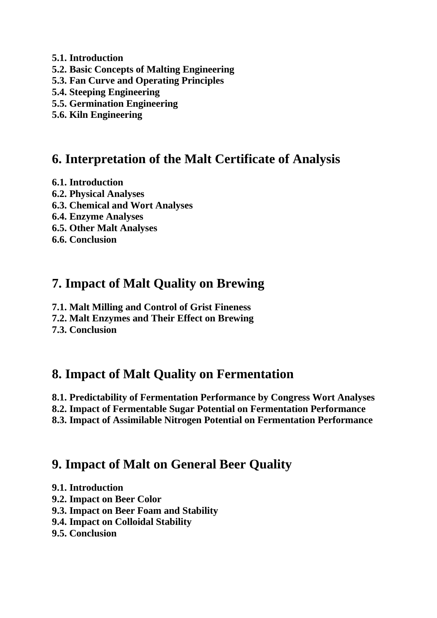- **5.1. Introduction**
- **5.2. Basic Concepts of Malting Engineering**
- **5.3. Fan Curve and Operating Principles**
- **5.4. Steeping Engineering**
- **5.5. Germination Engineering**
- **5.6. Kiln Engineering**

### **6. Interpretation of the Malt Certificate of Analysis**

- **6.1. Introduction**
- **6.2. Physical Analyses**
- **6.3. Chemical and Wort Analyses**
- **6.4. Enzyme Analyses**
- **6.5. Other Malt Analyses**
- **6.6. Conclusion**

## **7. Impact of Malt Quality on Brewing**

- **7.1. Malt Milling and Control of Grist Fineness**
- **7.2. Malt Enzymes and Their Effect on Brewing**
- **7.3. Conclusion**

# **8. Impact of Malt Quality on Fermentation**

- **8.1. Predictability of Fermentation Performance by Congress Wort Analyses**
- **8.2. Impact of Fermentable Sugar Potential on Fermentation Performance**
- **8.3. Impact of Assimilable Nitrogen Potential on Fermentation Performance**

# **9. Impact of Malt on General Beer Quality**

- **9.1. Introduction**
- **9.2. Impact on Beer Color**
- **9.3. Impact on Beer Foam and Stability**
- **9.4. Impact on Colloidal Stability**
- **9.5. Conclusion**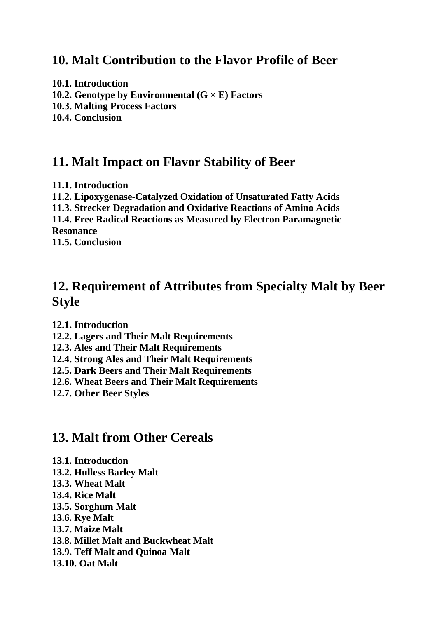#### **10. Malt Contribution to the Flavor Profile of Beer**

**10.1. Introduction 10.2. Genotype by Environmental (G × E) Factors 10.3. Malting Process Factors 10.4. Conclusion**

### **11. Malt Impact on Flavor Stability of Beer**

**11.1. Introduction**

**11.2. Lipoxygenase-Catalyzed Oxidation of Unsaturated Fatty Acids**

**11.3. Strecker Degradation and Oxidative Reactions of Amino Acids**

**11.4. Free Radical Reactions as Measured by Electron Paramagnetic Resonance**

**11.5. Conclusion**

## **12. Requirement of Attributes from Specialty Malt by Beer Style**

**12.1. Introduction**

- **12.2. Lagers and Their Malt Requirements**
- **12.3. Ales and Their Malt Requirements**
- **12.4. Strong Ales and Their Malt Requirements**
- **12.5. Dark Beers and Their Malt Requirements**
- **12.6. Wheat Beers and Their Malt Requirements**

**12.7. Other Beer Styles**

### **13. Malt from Other Cereals**

- **13.1. Introduction**
- **13.2. Hulless Barley Malt**
- **13.3. Wheat Malt**
- **13.4. Rice Malt**
- **13.5. Sorghum Malt**
- **13.6. Rye Malt**
- **13.7. Maize Malt**
- **13.8. Millet Malt and Buckwheat Malt**
- **13.9. Teff Malt and Quinoa Malt**
- **13.10. Oat Malt**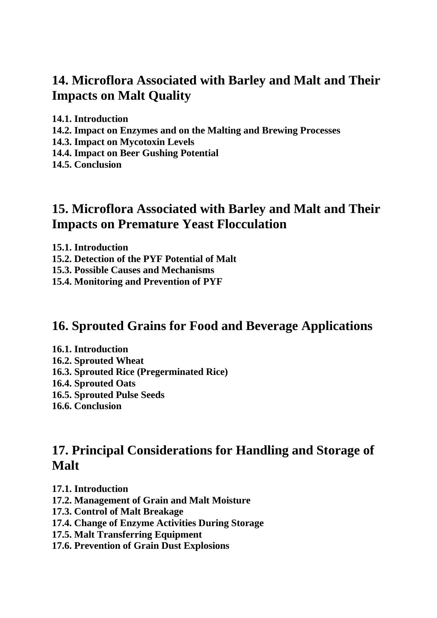## **14. Microflora Associated with Barley and Malt and Their Impacts on Malt Quality**

**14.1. Introduction**

- **14.2. Impact on Enzymes and on the Malting and Brewing Processes**
- **14.3. Impact on Mycotoxin Levels**
- **14.4. Impact on Beer Gushing Potential**

**14.5. Conclusion**

### **15. Microflora Associated with Barley and Malt and Their Impacts on Premature Yeast Flocculation**

**15.1. Introduction**

- **15.2. Detection of the PYF Potential of Malt**
- **15.3. Possible Causes and Mechanisms**
- **15.4. Monitoring and Prevention of PYF**

#### **16. Sprouted Grains for Food and Beverage Applications**

- **16.1. Introduction**
- **16.2. Sprouted Wheat**
- **16.3. Sprouted Rice (Pregerminated Rice)**
- **16.4. Sprouted Oats**
- **16.5. Sprouted Pulse Seeds**
- **16.6. Conclusion**

### **17. Principal Considerations for Handling and Storage of Malt**

- **17.1. Introduction**
- **17.2. Management of Grain and Malt Moisture**
- **17.3. Control of Malt Breakage**
- **17.4. Change of Enzyme Activities During Storage**
- **17.5. Malt Transferring Equipment**
- **17.6. Prevention of Grain Dust Explosions**